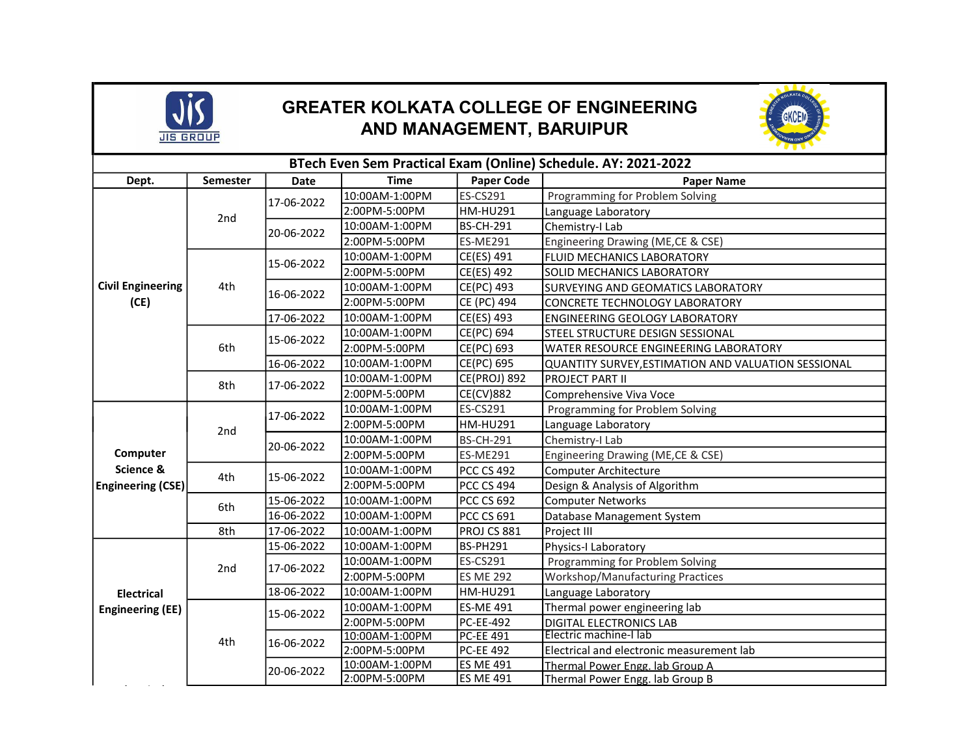

## GREATER KOLKATA COLLEGE OF ENGINEERING AND MANAGEMENT, BARUIPUR



| BTech Even Sem Practical Exam (Online) Schedule. AY: 2021-2022 |          |             |                |                     |                                                     |  |  |  |
|----------------------------------------------------------------|----------|-------------|----------------|---------------------|-----------------------------------------------------|--|--|--|
| Dept.                                                          | Semester | <b>Date</b> | <b>Time</b>    | <b>Paper Code</b>   | <b>Paper Name</b>                                   |  |  |  |
| <b>Civil Engineering</b><br>(CE)                               | 2nd      | 17-06-2022  | 10:00AM-1:00PM | ES-CS291            | Programming for Problem Solving                     |  |  |  |
|                                                                |          |             | 2:00PM-5:00PM  | <b>HM-HU291</b>     | Language Laboratory                                 |  |  |  |
|                                                                |          | 20-06-2022  | 10:00AM-1:00PM | <b>BS-CH-291</b>    | Chemistry-I Lab                                     |  |  |  |
|                                                                |          |             | 2:00PM-5:00PM  | <b>ES-ME291</b>     | Engineering Drawing (ME,CE & CSE)                   |  |  |  |
|                                                                | 4th      | 15-06-2022  | 10:00AM-1:00PM | CE(ES) 491          | FLUID MECHANICS LABORATORY                          |  |  |  |
|                                                                |          |             | 2:00PM-5:00PM  | CE(ES) 492          | <b>SOLID MECHANICS LABORATORY</b>                   |  |  |  |
|                                                                |          | 16-06-2022  | 10:00AM-1:00PM | CE(PC) 493          | SURVEYING AND GEOMATICS LABORATORY                  |  |  |  |
|                                                                |          |             | 2:00PM-5:00PM  | CE (PC) 494         | CONCRETE TECHNOLOGY LABORATORY                      |  |  |  |
|                                                                |          | 17-06-2022  | 10:00AM-1:00PM | CE(ES) 493          | ENGINEERING GEOLOGY LABORATORY                      |  |  |  |
|                                                                | 6th      | 15-06-2022  | 10:00AM-1:00PM | CE(PC) 694          | STEEL STRUCTURE DESIGN SESSIONAL                    |  |  |  |
|                                                                |          |             | 2:00PM-5:00PM  | CE(PC) 693          | WATER RESOURCE ENGINEERING LABORATORY               |  |  |  |
|                                                                |          | 16-06-2022  | 10:00AM-1:00PM | CE(PC) 695          | QUANTITY SURVEY, ESTIMATION AND VALUATION SESSIONAL |  |  |  |
|                                                                | 8th      | 17-06-2022  | 10:00AM-1:00PM | <b>CE(PROJ) 892</b> | <b>PROJECT PART II</b>                              |  |  |  |
|                                                                |          |             | 2:00PM-5:00PM  | <b>CE(CV)882</b>    | Comprehensive Viva Voce                             |  |  |  |
| Computer<br>Science &<br><b>Engineering (CSE)</b>              | 2nd      | 17-06-2022  | 10:00AM-1:00PM | ES-CS291            | Programming for Problem Solving                     |  |  |  |
|                                                                |          |             | 2:00PM-5:00PM  | <b>HM-HU291</b>     | Language Laboratory                                 |  |  |  |
|                                                                |          | 20-06-2022  | 10:00AM-1:00PM | <b>BS-CH-291</b>    | Chemistry-I Lab                                     |  |  |  |
|                                                                |          |             | 2:00PM-5:00PM  | <b>ES-ME291</b>     | Engineering Drawing (ME,CE & CSE)                   |  |  |  |
|                                                                | 4th      | 15-06-2022  | 10:00AM-1:00PM | <b>PCC CS 492</b>   | Computer Architecture                               |  |  |  |
|                                                                |          |             | 2:00PM-5:00PM  | <b>PCC CS 494</b>   | Design & Analysis of Algorithm                      |  |  |  |
|                                                                | 6th      | 15-06-2022  | 10:00AM-1:00PM | PCC CS 692          | <b>Computer Networks</b>                            |  |  |  |
|                                                                |          | 16-06-2022  | 10:00AM-1:00PM | <b>PCC CS 691</b>   | Database Management System                          |  |  |  |
|                                                                | 8th      | 17-06-2022  | 10:00AM-1:00PM | PROJ CS 881         | Project III                                         |  |  |  |
| <b>Electrical</b><br><b>Engineering (EE)</b>                   | 2nd      | 15-06-2022  | 10:00AM-1:00PM | <b>BS-PH291</b>     | Physics-I Laboratory                                |  |  |  |
|                                                                |          | 17-06-2022  | 10:00AM-1:00PM | ES-CS291            | Programming for Problem Solving                     |  |  |  |
|                                                                |          |             | 2:00PM-5:00PM  | <b>ES ME 292</b>    | <b>Workshop/Manufacturing Practices</b>             |  |  |  |
|                                                                |          | 18-06-2022  | 10:00AM-1:00PM | <b>HM-HU291</b>     | Language Laboratory                                 |  |  |  |
|                                                                | 4th      | 15-06-2022  | 10:00AM-1:00PM | <b>ES-ME 491</b>    | Thermal power engineering lab                       |  |  |  |
|                                                                |          |             | 2:00PM-5:00PM  | <b>PC-EE-492</b>    | DIGITAL ELECTRONICS LAB                             |  |  |  |
|                                                                |          | 16-06-2022  | 10:00AM-1:00PM | <b>PC-EE 491</b>    | Electric machine-I lab                              |  |  |  |
|                                                                |          |             | 2:00PM-5:00PM  | <b>PC-EE 492</b>    | Electrical and electronic measurement lab           |  |  |  |
|                                                                |          | 20-06-2022  | 10:00AM-1:00PM | <b>ES ME 491</b>    | Thermal Power Engg. lab Group A                     |  |  |  |
|                                                                |          |             | 2:00PM-5:00PM  | <b>ES ME 491</b>    | Thermal Power Engg. lab Group B                     |  |  |  |